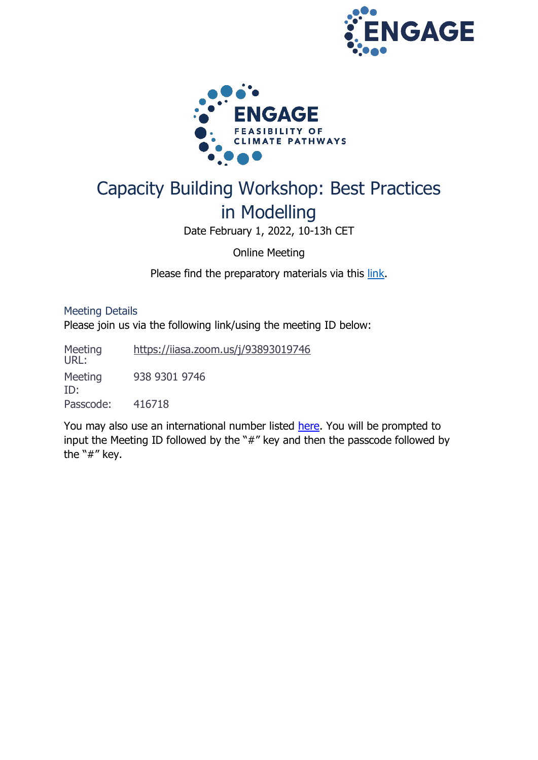



# Capacity Building Workshop: Best Practices in Modelling

Date February 1, 2022, 10-13h CET

Online Meeting

Please find the preparatory materials via this [link.](https://www.engage-climate.org/capacity-building-workshop-1-february-2021/)

Meeting Details Please join us via the following link/using the meeting ID below:

Meeting URL: <https://iiasa.zoom.us/j/93893019746> Meeting ID: 938 9301 9746 Passcode: 416718

You may also use an international number listed [here.](https://iiasa.zoom.us/zoomconference?m=OTI0MzQzNjU4NTM.7oMBw0uGkMiBtOJ4QXGpllS1lnsc4x19&_x_zm_rtaid=c0R7mP7QRf-h3P3PBRhOmQ.1631103754581.fcc3c34fdefd08c7b67cd019c38fccb1&_x_zm_rhtaid=395) You will be prompted to input the Meeting ID followed by the "#" key and then the passcode followed by the "#" key.